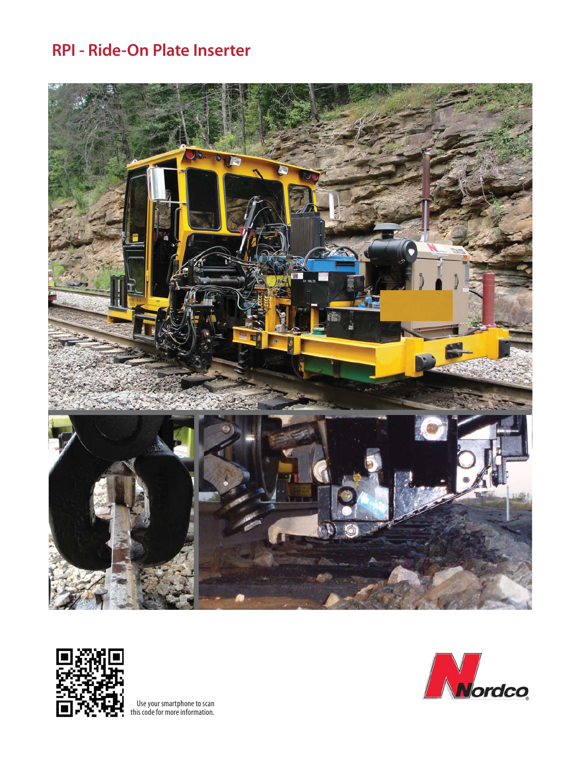# **RPI - Ride-On Plate Inserter**





Use your smartphone to scan this code for more information.

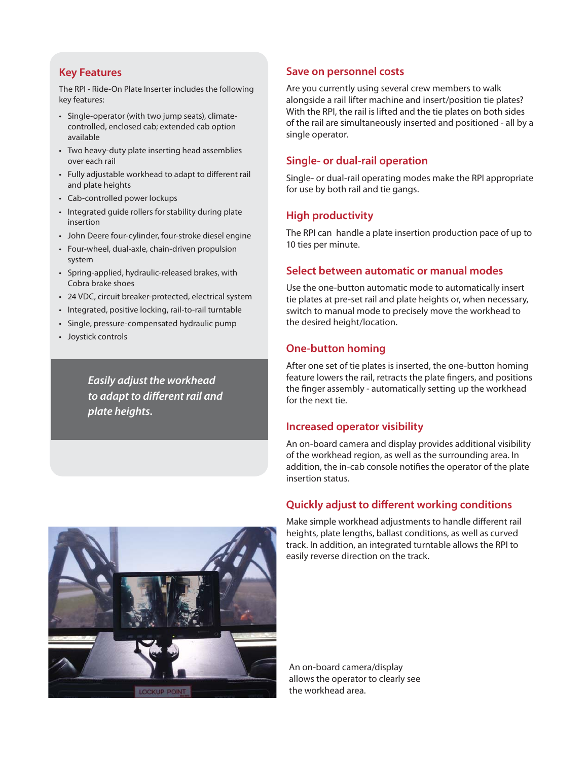#### **Key Features**

The RPI - Ride-On Plate Inserter includes the following key features:

- Single-operator (with two jump seats), climatecontrolled, enclosed cab; extended cab option available
- Two heavy-duty plate inserting head assemblies over each rail
- Fully adjustable workhead to adapt to different rail and plate heights
- Cab-controlled power lockups
- Integrated guide rollers for stability during plate insertion
- John Deere four-cylinder, four-stroke diesel engine
- Four-wheel, dual-axle, chain-driven propulsion system
- Spring-applied, hydraulic-released brakes, with Cobra brake shoes
- 24 VDC, circuit breaker-protected, electrical system
- Integrated, positive locking, rail-to-rail turntable
- Single, pressure-compensated hydraulic pump
- Joystick controls

*Easily adjust the workhead*  to adapt to different rail and *plate heights.*

### **Save on personnel costs**

Are you currently using several crew members to walk alongside a rail lifter machine and insert/position tie plates? With the RPI, the rail is lifted and the tie plates on both sides of the rail are simultaneously inserted and positioned - all by a single operator.

### **Single- or dual-rail operation**

Single- or dual-rail operating modes make the RPI appropriate for use by both rail and tie gangs.

## **High productivity**

The RPI can handle a plate insertion production pace of up to 10 ties per minute.

## **Select between automatic or manual modes**

Use the one-button automatic mode to automatically insert tie plates at pre-set rail and plate heights or, when necessary, switch to manual mode to precisely move the workhead to the desired height/location.

### **One-button homing**

After one set of tie plates is inserted, the one-button homing feature lowers the rail, retracts the plate fingers, and positions the finger assembly - automatically setting up the workhead for the next tie.

#### **Increased operator visibility**

An on-board camera and display provides additional visibility of the workhead region, as well as the surrounding area. In addition, the in-cab console notifies the operator of the plate insertion status.

### **Quickly adjust to different working conditions**



Make simple workhead adjustments to handle different rail heights, plate lengths, ballast conditions, as well as curved track. In addition, an integrated turntable allows the RPI to easily reverse direction on the track.

An on-board camera/display allows the operator to clearly see the workhead area.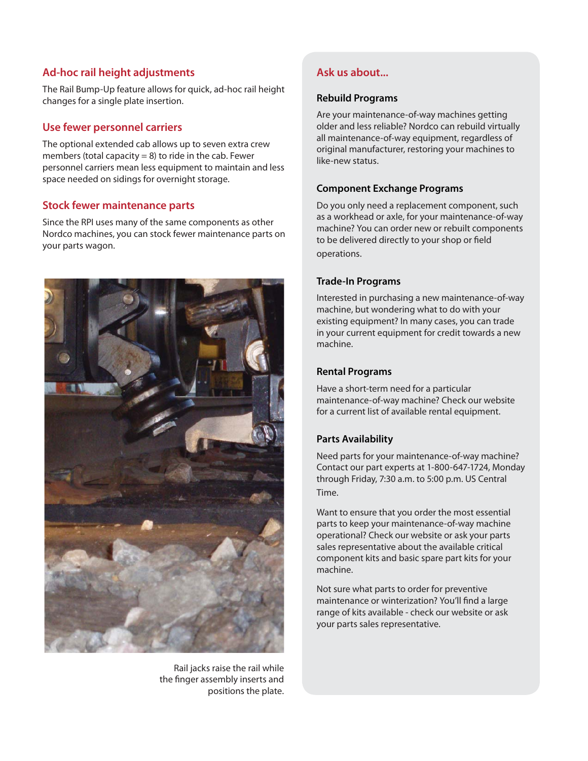## **Ad-hoc rail height adjustments**

The Rail Bump-Up feature allows for quick, ad-hoc rail height changes for a single plate insertion.

# **Optional photo, diagram, Use fewer personnel carriers**

The optional extended cab allows up to seven extra cl<br>members (total capacity = 8) to ride in the cab. Fewer personnel carriers mean less equipment to maintain and less The optional extended cab allows up to seven extra crew space needed on sidings for overnight storage.

### **Stock fewer maintenance parts**

Since the RPI uses many of the same components as other Nordco machines, you can stock fewer maintenance parts on your parts wagon.



Rail jacks raise the rail while the finger assembly inserts and positions the plate.

# **Ask us about...**

#### **Rebuild Programs**

Are your maintenance-of-way machines getting older and less reliable? Nordco can rebuild virtually all maintenance-of-way equipment, regardless of original manufacturer, restoring your machines to like-new status.

### **Component Exchange Programs**

Do you only need a replacement component, such as a workhead or axle, for your maintenance-of-way machine? You can order new or rebuilt components to be delivered directly to your shop or field operations.

#### **Trade-In Programs**

Interested in purchasing a new maintenance-of-way machine, but wondering what to do with your existing equipment? In many cases, you can trade in your current equipment for credit towards a new machine.

#### **Rental Programs**

Have a short-term need for a particular maintenance-of-way machine? Check our website for a current list of available rental equipment.

### **Parts Availability**

Need parts for your maintenance-of-way machine? Contact our part experts at 1-800-647-1724, Monday through Friday, 7:30 a.m. to 5:00 p.m. US Central Time.

Want to ensure that you order the most essential parts to keep your maintenance-of-way machine operational? Check our website or ask your parts sales representative about the available critical component kits and basic spare part kits for your machine.

Not sure what parts to order for preventive maintenance or winterization? You'll find a large range of kits available - check our website or ask your parts sales representative.